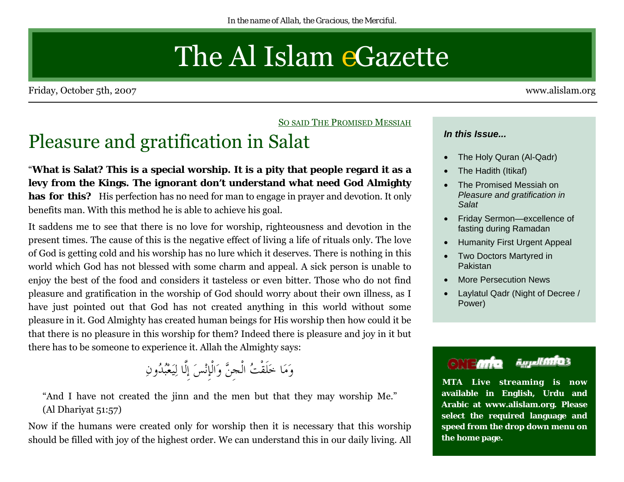# The Al Islam *e*Gazette

<span id="page-0-0"></span>Friday, October 5th, 2007 www.alislam.org

<u>So said The Promised Messiah</u>

## Pleasure and gratification in Salat

"**What is Salat? This is a special worship. It is a pity that people regard it as a levy from the Kings. The ignorant don't understand what need God Almighty has for this?** His perfection has no need for man to engage in prayer and devotion. It only benefits man. With this method he is able to achieve his goal.

It saddens me to see that there is no love for worship, righteousness and devotion in the present times. The cause of this is the negative effect of living a life of rituals only. The love of God is getting cold and his worship has no lure which it deserves. There is nothing in this world which God has not blessed with some charm and appeal. A sick person is unable to enjoy the best of the food and considers it tasteless or even bitter. Those who do not find pleasure and gratification in the worship of God should worry about their own illness, as I have just pointed out that God has not created anything in this world without some pleasure in it. God Almighty has created human beings for His worship then how could it be that there is no pleasure in this worship for them? Indeed there is pleasure and joy in it but there has to be someone to experience it. Allah the Almighty says:

وَمَا خَلَقْتُ الْجِنَّ وَالْإِنْسَ إِلَّا لِيَعْبُدُونِ

"And I have not created the jinn and the men but that they may worship Me." (Al Dhariyat 51:57)

Now if the humans were created only for worship then it is necessary that this worship should be filled with joy of the highest order. We can understand this in our daily living. All

#### *In this Issue...*

- The Holy Quran (Al-Qadr)
- The Hadith (Itikaf)
- The Promised Messiah on *[Pleasure and gratification in](#page-0-0)  Salat*
- [Friday Sermon—excellence of](#page-8-0)  fasting during Ramadan
- [Humanity First Urgent Appeal](#page-1-0)
- [Two Doctors Martyred in](#page-2-0)  Pakistan
- [More Persecution News](#page-3-0)
- [Laylatul Qadr \(Night of Decree /](#page-5-0)  Power)

#### أأأأ العربية **ONEMIE**

**MTA Live streaming is now available in English, Urdu and Arabic at www.alislam.org. Please select the required language and speed from the drop down menu on the home page.**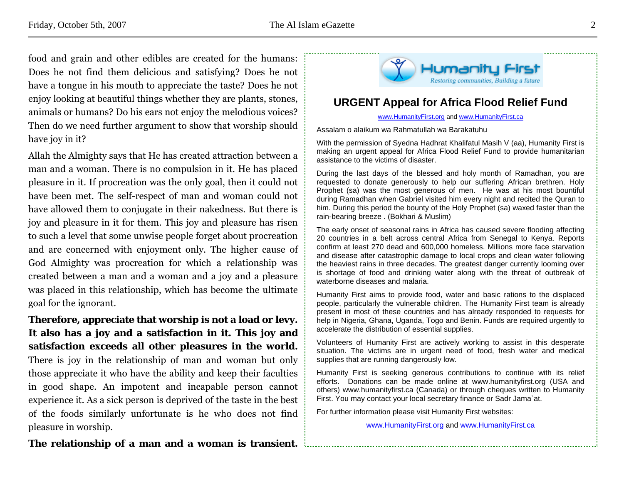<span id="page-1-0"></span>food and grain and other edibles are created for the humans: Does he not find them delicious and satisfying? Does he not have a tongue in his mouth to appreciate the taste? Does he not enjoy looking at beautiful things whether they are plants, stones, animals or humans? Do his ears not enjoy the melodious voices? Then do we need further argument to show that worship should have joy in it?

Allah the Almighty says that He has created attraction between a man and a woman. There is no compulsion in it. He has placed pleasure in it. If procreation was the only goal, then it could not have been met. The self-respect of man and woman could not have allowed them to conjugate in their nakedness. But there is joy and pleasure in it for them. This joy and pleasure has risen to such a level that some unwise people forget about procreation and are concerned with enjoyment only. The higher cause of God Almighty was procreation for which a relationship was created between a man and a woman and a joy and a pleasure was placed in this relationship, which has become the ultimate goal for the ignorant.

**Therefore, appreciate that worship is not a load or levy. It also has a joy and a satisfaction in it. This joy and satisfaction exceeds all other pleasures in the world.** There is joy in the relationship of man and woman but only those appreciate it who have the ability and keep their faculties in good shape. An impotent and incapable person cannot experience it. As a sick person is deprived of the taste in the best of the foods similarly unfortunate is he who does not find pleasure in worship.



#### **URGENT Appeal for Africa Flood Relief Fund**

www.HumanityFirst.org and www.HumanityFirst.ca

Assalam o alaikum wa Rahmatullah wa Barakatuhu

With the permission of Syedna Hadhrat Khalifatul Masih V (aa), Humanity First is making an urgent appeal for Africa Flood Relief Fund to provide humanitarian assistance to the victims of disaster.

During the last days of the blessed and holy month of Ramadhan, you are requested to donate generously to help our suffering African brethren. Holy Prophet (sa) was the most generous of men. He was at his most bountiful during Ramadhan when Gabriel visited him every night and recited the Quran to him. During this period the bounty of the Holy Prophet (sa) waxed faster than the rain-bearing breeze . (Bokhari & Muslim)

The early onset of seasonal rains in Africa has caused severe flooding affecting 20 countries in a belt across central Africa from Senegal to Kenya. Reports confirm at least 270 dead and 600,000 homeless. Millions more face starvation and disease after catastrophic damage to local crops and clean water following the heaviest rains in three decades. The greatest danger currently looming over is shortage of food and drinking water along with the threat of outbreak of waterborne diseases and malaria.

Humanity First aims to provide food, water and basic rations to the displaced people, particularly the vulnerable children. The Humanity First team is already present in most of these countries and has already responded to requests for help in Nigeria, Ghana, Uganda, Togo and Benin. Funds are required urgently to accelerate the distribution of essential supplies.

Volunteers of Humanity First are actively working to assist in this desperate situation. The victims are in urgent need of food, fresh water and medical supplies that are running dangerously low.

Humanity First is seeking generous contributions to continue with its relief efforts. Donations can be made online at www.humanityfirst.org (USA and others) www.humanityfirst.ca (Canada) or through cheques written to Humanity First. You may contact your local secretary finance or Sadr Jama`at.

For further information please visit Humanity First websites:

www.HumanityFirst.org and www.HumanityFirst.ca

**The relationship of a man and a woman is transient.**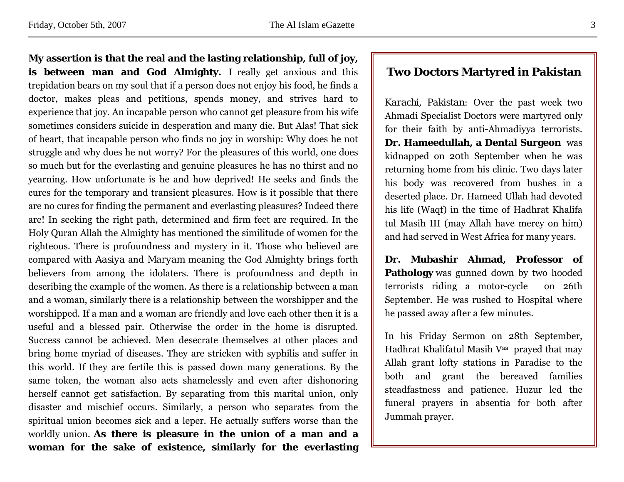is between man and God Almighty. I really get anxious and this trepidation bears on my soul that if a person does not enjoy his food, he finds a doctor, makes pleas and petitions, spends money, and strives hard to experience that joy. An incapable person who cannot get pleasure from his wife sometimes considers suicide in desperation and many die. But Alas! That sick of heart, that incapable person who finds no joy in worship: Why does he not struggle and why does he not worry? For the pleasures of this world, one does so much but for the everlasting and genuine pleasures he has no thirst and no yearning. How unfortunate is he and how deprived! He seeks and finds the cures for the temporary and transient pleasures. How is it possible that there are no cures for finding the permanent and everlasting pleasures? Indeed there are! In seeking the right path, determined and firm feet are required. In the Holy Quran Allah the Almighty has mentioned the similitude of women for the righteous. There is profoundness and mystery in it. Those who believed are compared with *Aasiya* and *Maryam* meaning the God Almighty brings forth believers from among the idolaters. There is profoundness and depth in describing the example of the women. As there is a relationship between a man and a woman, similarly there is a relationship between the worshipper and the worshipped. If a man and a woman are friendly and love each other then it is a useful and a blessed pair. Otherwise the order in the home is disrupted. Success cannot be achieved. Men desecrate themselves at other places and bring home myriad of diseases. They are stricken with syphilis and suffer in this world. If they are fertile this is passed down many generations. By the same token, the woman also acts shamelessly and even after dishonoring herself cannot get satisfaction. By separating from this marital union, only disaster and mischief occurs. Similarly, a person who separates from the spiritual union becomes sick and a leper. He actually suffers worse than the worldly union. **As there is pleasure in the union of a man and a** 

**woman for the sake of existence, similarly for the everlasting** 

<span id="page-2-0"></span>**My assertion is that the real and the lasting relationship, full of joy,** 

#### **Two Doctors Martyred in Pakistan**

*Karachi, Pakistan:* Over the past week two Ahmadi Specialist Doctors were martyred only for their faith by anti-Ahmadiyya terrorists. **Dr. Hameedullah, a Dental Surgeon** was kidnapped on 20th September when he was returning home from his clinic. Two days later his body was recovered from bushes in a deserted place. Dr. Hameed Ullah had devoted his life (Waqf) in the time of Hadhrat Khalifa tul Masih III (may Allah have mercy on him) and had served in West Africa for many years.

**Dr. Mubashir Ahmad, Professor of Pathology** was gunned down by two hooded terrorists riding a motor-cycle on 26th September. He was rushed to Hospital where he passed away after a few minutes.

In his Friday Sermon on 28th September, Hadhrat Khalifatul Masih Vaa prayed that may Allah grant lofty stations in Paradise to the both and grant the bereaved families steadfastness and patience. Huzur led the funeral prayers in absentia for both after Jummah prayer.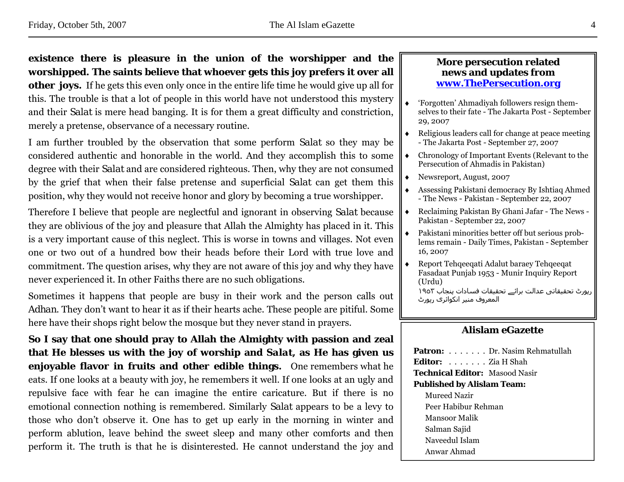#### <span id="page-3-0"></span>**existence there is pleasure in the union of the worshipper and the worshipped. The saints believe that whoever gets this joy prefers it over all**

**other joys.** If he gets this even only once in the entire life time he would give up all for this. The trouble is that a lot of people in this world have not understood this mystery and their *Salat* is mere head banging. It is for them a great difficulty and constriction, merely a pretense, observance of a necessary routine.

I am further troubled by the observation that some perform *Salat* so they may be considered authentic and honorable in the world. And they accomplish this to some degree with their *Salat* and are considered righteous. Then, why they are not consumed by the grief that when their false pretense and superficial *Salat* can get them this position, why they would not receive honor and glory by becoming a true worshipper.

Therefore I believe that people are neglectful and ignorant in observing *Salat* because they are oblivious of the joy and pleasure that Allah the Almighty has placed in it. This is a very important cause of this neglect. This is worse in towns and villages. Not even one or two out of a hundred bow their heads before their Lord with true love and commitment. The question arises, why they are not aware of this joy and why they have never experienced it. In other Faiths there are no such obligations.

Sometimes it happens that people are busy in their work and the person calls out *Adhan*. They don't want to hear it as if their hearts ache. These people are pitiful. Some here have their shops right below the mosque but they never stand in prayers.

**So I say that one should pray to Allah the Almighty with passion and zeal that He blesses us with the joy of worship and** *Salat***, as He has given us enjoyable flavor in fruits and other edible things.** One remembers what he eats. If one looks at a beauty with joy, he remembers it well. If one looks at an ugly and repulsive face with fear he can imagine the entire caricature. But if there is no emotional connection nothing is remembered. Similarly *Salat* appears to be a levy to those who don't observe it. One has to get up early in the morning in winter and perform ablution, leave behind the sweet sleep and many other comforts and then perform it. The truth is that he is disinterested. He cannot understand the joy and

#### **More persecution related news and updates from www.ThePersecution.org**

- ♦ 'Forgotten' Ahmadiyah followers resign themselves to their fate - The Jakarta Post - September 29, 2007
- ♦ Religious leaders call for change at peace meeting - The Jakarta Post - September 27, 2007
- ♦ Chronology of Important Events (Relevant to the Persecution of Ahmadis in Pakistan)
- ♦ Newsreport, August, 2007
- Assessing Pakistani democracy By Ishtiaq Ahmed - The News - Pakistan - September 22, 2007
- ♦ Reclaiming Pakistan By Ghani Jafar The News Pakistan - September 22, 2007
- ♦ Pakistani minorities better off but serious problems remain - Daily Times, Pakistan - September 16, 2007
- Report Tehqeeqati Adalut baraey Tehqeeqat Fasadaat Punjab 1953 - Munir Inquiry Report (Urdu)

رپورٹ تحقيقاتی عدالت برائے تحقيقات فسادات پنجاب ١٩٥٣ المعروف منير انکوائری رپورٹ

#### **Alislam eGazette**

| <b>Patron:</b> Dr. Nasim Rehmatullah  |
|---------------------------------------|
| Editor: Zia H Shah                    |
| <b>Technical Editor:</b> Masood Nasir |
| <b>Published by Alislam Team:</b>     |
| Mureed Nazir                          |
| Peer Habibur Rehman                   |
| Mansoor Malik                         |
| Salman Sajid                          |
| Naveedul Islam                        |
| Anwar Ahmad                           |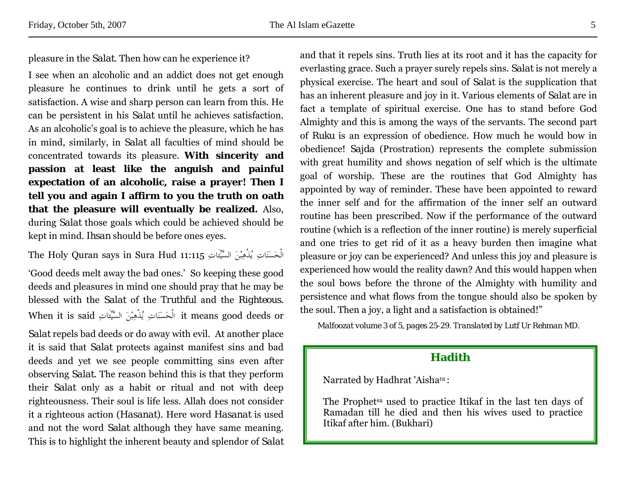<span id="page-4-0"></span>pleasure in the *Salat*. Then how can he experience it?

I see when an alcoholic and an addict does not get enough pleasure he continues to drink until he gets a sort of satisfaction. A wise and sharp person can learn from this. He can be persistent in his *Salat* until he achieves satisfaction. As an alcoholic's goal is to achieve the pleasure, which he has in mind, similarly, in *Salat* all faculties of mind should be concentrated towards its pleasure. **With sincerity and passion at least like the anguish and painful expectation of an alcoholic, raise a prayer! Then I tell you and again I affirm to you the truth on oath that the pleasure will eventually be realized.** Also, during *Salat* those goals which could be achieved should be kept in mind. *Ihsan* should be before ones eyes.

الْحَسَنَاتِ يُذْهِبْنَ السَّيِّئَاتِ 11:115 Hud Sura in says Quran Holy The

'Good deeds melt away the bad ones.' So keeping these good deeds and pleasures in mind one should pray that he may be blessed with the *Salat* of the *Truthful* and the *Righteous*. When it is said الْحَسَنَاتِ يُذْهِبْنَ السَّيِّئَاتِ said الْحَسَنَاتِ  $i$ t means good deeds or

*Salat* repels bad deeds or do away with evil. At another place it is said that *Salat* protects against manifest sins and bad deeds and yet we see people committing sins even after observing *Salat*. The reason behind this is that they perform their *Salat* only as a habit or ritual and not with deep righteousness. Their soul is life less. Allah does not consider it a righteous action (*Hasanat*). Here word *Hasanat* is used and not the word *Salat* although they have same meaning. This is to highlight the inherent beauty and splendor of *Salat* and that it repels sins. Truth lies at its root and it has the capacity for everlasting grace. Such a prayer surely repels sins. *Salat* is not merely a physical exercise. The heart and soul of *Salat* is the supplication that has an inherent pleasure and joy in it. Various elements of *Salat* are in fact a template of spiritual exercise. One has to stand before God Almighty and this is among the ways of the servants. The second part of *Ruku* is an expression of obedience. How much he would bow in obedience! *Sajda* (Prostration) represents the complete submission with great humility and shows negation of self which is the ultimate goal of worship. These are the routines that God Almighty has appointed by way of reminder. These have been appointed to reward the inner self and for the affirmation of the inner self an outward routine has been prescribed. Now if the performance of the outward routine (which is a reflection of the inner routine) is merely superficial and one tries to get rid of it as a heavy burden then imagine what pleasure or joy can be experienced? And unless this joy and pleasure is experienced how would the reality dawn? And this would happen when the soul bows before the throne of the Almighty with humility and persistence and what flows from the tongue should also be spoken by the soul. Then a joy, a light and a satisfaction is obtained!"

*Malfoozat volume 3 of 5, pages 25-29. Translated by Lutf Ur Rehman MD.* 

#### **Hadith**

Narrated by Hadhrat 'Aishara :

The Prophetsa used to practice Itikaf in the last ten days of Ramadan till he died and then his wives used to practice Itikaf after him. (Bukhari)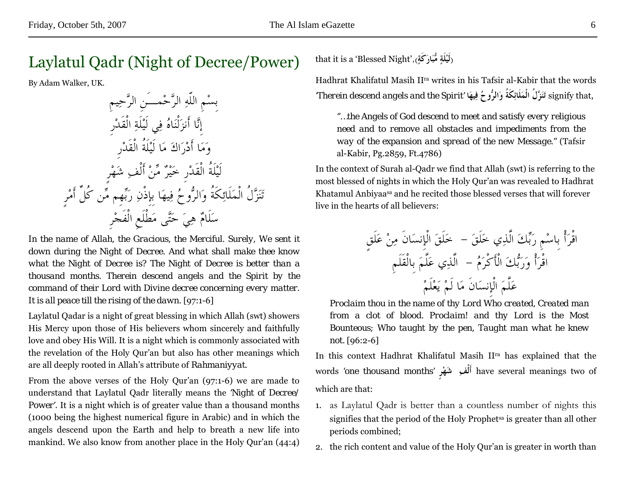### <span id="page-5-0"></span>Laylatul Qadr (Night of Decree/Power)

By Adam Walker, UK.

بِسْمِ اللّهِ الرَّحْمـَنِ الرَّحِيمِ إِنَّا أَنزَلْنَاهُ فِي لَيْلَةِ الْقَدْرِ وَمَا أَدْرَاكَ مَا لَيْلَةُ الْقَدْرِ لَيْلَةُ الْقَدْرِ خَيْرٌ مِّنْ أَلْفِ شَهْرٍ تَنَزَّلُ الْمَلَائِكَةُ وَالرُّوحُ فِيهَا بِإِذْنِ رَبِّهِم مِّن كُلِّ أَمْرٍ سَلَامٌ هِيَ حَتَّى مَطْلَعِ الْفَجْرِ

*In the name of Allah, the Gracious, the Merciful. Surely, We sent it down during the Night of Decree. And what shall make thee know what the Night of Decree is? The Night of Decree is better than a thousand months. Therein descend angels and the Spirit by the command of their Lord with Divine decree concerning every matter.*  It is all peace till the rising of the dawn. [97:1-6]

Laylatul Qadar is a night of great blessing in which Allah (swt) showers His Mercy upon those of His believers whom sincerely and faithfully love and obey His Will. It is a night which is commonly associated with the revelation of the Holy Qur'an but also has other meanings which are all deeply rooted in Allah's attribute of *Rahmaniyyat*.

From the above verses of the Holy Qur'an (97:1-6) we are made to understand that Laylatul Qadr literally means the *'Night of Decree/ Power'*. It is a night which is of greater value than a thousand months (1000 being the highest numerical figure in Arabic) and in which the angels descend upon the Earth and help to breath a new life into mankind. We also know from another place in the Holy Qur'an (44:4)

that it is a 'Blessed Night',( ) **ٍكَةَارَمُّب ٍلَةْلَي**

Hadhrat Khalifatul Masih IIra writes in his Tafsir al-Kabir that the words,that signify **تَنَزَّلُ الْمَلَائِكَةُ وَالرُّوحُ فِيهَا** *'Spirit the and angels descend Therein'*

*''…the Angels of God descend to meet and satisfy every religious need and to remove all obstacles and impediments from the way of the expansion and spread of the new Message.''* (Tafsir al-Kabir, Pg.2859, Ft.4786)

In the context of Surah al-Qadr we find that Allah (swt) is referring to the most blessed of nights in which the Holy Qur'an was revealed to Hadhrat Khatamul Anbiyaasa and he recited those blessed verses that will forever live in the hearts of all believers:

خَلَقَ الْإِنسَانَ مِنْ عَلَقٍ اقْرَأْ بِاسْمِ رَبِّكَ الَّذِي خَلَقَ - الَّذِي عَلَّمَ بِالْقَلَمِ اقْرَأْ وَرَبُّكَ الْأَكْرَمُ - عَلَّمَ الْإِنسَانَ مَا لَمْ يَعْلَمْ

*Proclaim thou in the name of thy Lord Who created, Created man from a clot of blood. Proclaim! and thy Lord is the Most Bounteous; Who taught by the pen, Taught man what he knew not.* [96:2-6]

In this context Hadhrat Khalifatul Masih IIra has explained that the words *'one thousand months'* **رٍْهَش ِأَلْف** have several meanings two of which are that:

- 1. as Laylatul Qadr is better than a countless number of nights this signifies that the period of the Holy Prophetsa is greater than all other periods combined;
- 2. the rich content and value of the Holy Qur'an is greater in worth than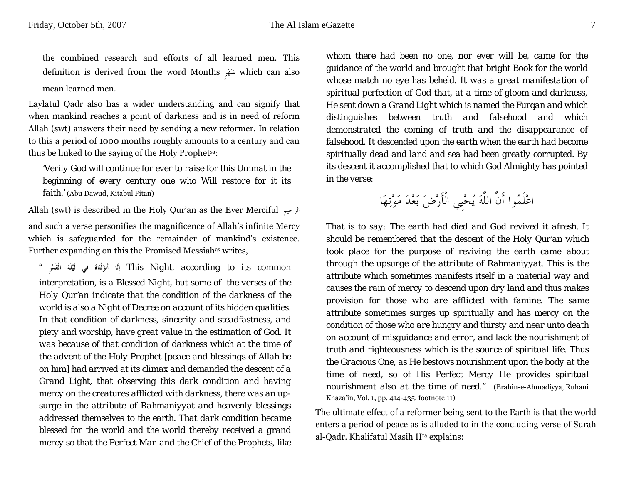the combined research and efforts of all learned men. This definition is derived from the word Months **رٍْهَش** which can also mean learned men.

Laylatul Qadr also has a wider understanding and can signify that when mankind reaches a point of darkness and is in need of reform Allah (swt) answers their need by sending a new reformer. In relation to this a period of 1000 months roughly amounts to a century and can thus be linked to the saying of the Holy Prophetsa:

*'Verily God will continue for ever to raise for this Ummat in the beginning of every century one who Will restore for it its faith.'* (Abu Dawud, Kitabul Fitan)

Allah (swt) is described in the Holy Qur'an as the Ever Merciful الرحيم and such a verse personifies the magnificence of Allah's infinite Mercy which is safeguarded for the remainder of mankind's existence. Further expanding on this the Promised Messiah<sup>as</sup> writes,

 *common its to according ,Night This* **إِنَّا أَنزَلْنَاهُ فِي لَيْلَةِ الْقَدْرِ** " *interpretation, is a Blessed Night, but some of the verses of the Holy Qur'an indicate that the condition of the darkness of the world is also a Night of Decree on account of its hidden qualities. In that condition of darkness, sincerity and steadfastness, and piety and worship, have great value in the estimation of God. It was because of that condition of darkness which at the time of the advent of the Holy Prophet [peace and blessings of Allah be on him] had arrived at its climax and demanded the descent of a Grand Light, that observing this dark condition and having mercy on the creatures afflicted with darkness, there was an upsurge in the attribute of Rahmaniyyat and heavenly blessings addressed themselves to the earth. That dark condition became blessed for the world and the world thereby received a grand mercy so that the Perfect Man and the Chief of the Prophets, like*  *whom there had been no one, nor ever will be, came for the guidance of the world and brought that bright Book for the world whose match no eye has beheld. It was a great manifestation of spiritual perfection of God that, at a time of gloom and darkness, He sent down a Grand Light which is named the Furqan and which distinguishes between truth and falsehood and which demonstrated the coming of truth and the disappearance of falsehood. It descended upon the earth when the earth had become spiritually dead and land and sea had been greatly corrupted. By its descent it accomplished that to which God Almighty has pointed in the verse:* 

اعْلَمُوا أَنَّ اللَّهَ يُحْيِي الْأَرْضَ بَعْدَ مَوْتِهَا

*That is to say: The earth had died and God revived it afresh. It should be remembered that the descent of the Holy Qur'an which took place for the purpose of reviving the earth came about through the upsurge of the attribute of Rahmaniyyat. This is the attribute which sometimes manifests itself in a material way and causes the rain of mercy to descend upon dry land and thus makes provision for those who are afflicted with famine. The same attribute sometimes surges up spiritually and has mercy on the condition of those who are hungry and thirsty and near unto death on account of misguidance and error, and lack the nourishment of truth and righteousness which is the source of spiritual life. Thus the Gracious One, as He bestows nourishment upon the body at the time of need, so of His Perfect Mercy He provides spiritual nourishment also at the time of need.''* (Brahin-e-Ahmadiyya, Ruhani Khaza'in, Vol. 1, pp. 414-435, footnote 11)

The ultimate effect of a reformer being sent to the Earth is that the world enters a period of peace as is alluded to in the concluding verse of Surah al-Qadr. Khalifatul Masih IIra explains: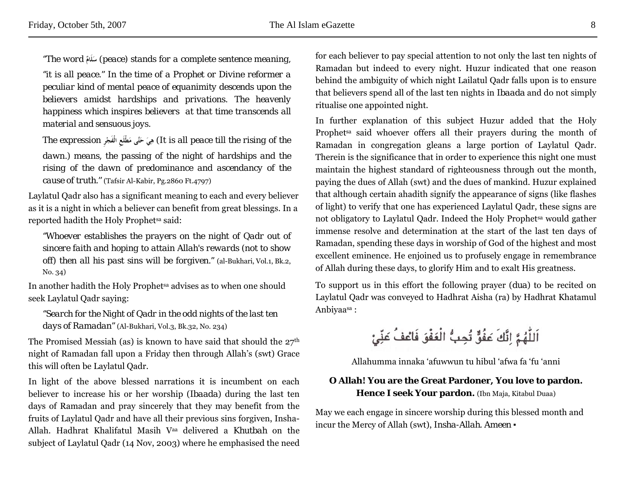*''The word* **ٌلَامَس**) *peace) stands for a complete sentence meaning,* 

*''it is all peace.'' In the time of a Prophet or Divine reformer a peculiar kind of mental peace of equanimity descends upon the believers amidst hardships and privations. The heavenly happiness which inspires believers at that time transcends all material and sensuous joys.*

*The expression* **رِْالْفَج طْلَعَِم تَّىَح َيِه**) *It is all peace till the rising of the dawn.*) *means, the passing of the night of hardships and the rising of the dawn of predominance and ascendancy of the cause of truth.''* (Tafsir Al-Kabir, Pg.2860 Ft.4797)

Laylatul Qadr also has a significant meaning to each and every believer as it is a night in which a believer can benefit from great blessings. In a reported hadith the Holy Prophetsa said:

*''Whoever establishes the prayers on the night of Qadr out of sincere faith and hoping to attain Allah's rewards (not to show off) then all his past sins will be forgiven.''* (al-Bukhari, Vol.1, Bk.2, No. 34)

In another hadith the Holy Prophetsa advises as to when one should seek Laylatul Qadr saying:

*''Search for the Night of Qadr in the odd nights of the last ten days of Ramadan''* (Al-Bukhari, Vol.3, Bk.32, No. 234)

The Promised Messiah (as) is known to have said that should the  $27<sup>th</sup>$ night of Ramadan fall upon a Friday then through Allah's (swt) Grace this will often be Laylatul Qadr.

In light of the above blessed narrations it is incumbent on each believer to increase his or her worship (*Ibaada*) during the last ten days of Ramadan and pray sincerely that they may benefit from the fruits of Laylatul Qadr and have all their previous sins forgiven, Insha-Allah. Hadhrat Khalifatul Masih Vaa delivered a *Khutbah* on the subject of Laylatul Qadr (14 Nov, 2003) where he emphasised the need for each believer to pay special attention to not only the last ten nights of Ramadan but indeed to every night. Huzur indicated that one reason behind the ambiguity of which night Lailatul Qadr falls upon is to ensure that believers spend all of the last ten nights in *Ibaada* and do not simply ritualise one appointed night.

In further explanation of this subject Huzur added that the Holy Prophet<sup>sa</sup> said whoever offers all their prayers during the month of Ramadan in congregation gleans a large portion of Laylatul Qadr. Therein is the significance that in order to experience this night one must maintain the highest standard of righteousness through out the month, paying the dues of Allah (swt) and the dues of mankind. Huzur explained that although certain ahadith signify the appearance of signs (like flashes of light) to verify that one has experienced Laylatul Qadr, these signs are not obligatory to Laylatul Qadr. Indeed the Holy Prophetsa would gather immense resolve and determination at the start of the last ten days of Ramadan, spending these days in worship of God of the highest and most excellent eminence. He enjoined us to profusely engage in remembrance of Allah during these days, to glorify Him and to exalt His greatness.

To support us in this effort the following prayer (*dua*) to be recited on Laylatul Qadr was conveyed to Hadhrat Aisha (ra) by Hadhrat Khatamul Anbiyaasa :

اَللَّهُمَّ إِنَّكَ عَفُقٌ تُحِبُّ الْعَفْوَ فَاعْفُ عَنِّيْ

Allahumma innaka 'afuwwun tu hibul 'afwa fa 'fu 'anni

#### **O Allah! You are the Great Pardoner, You love to pardon. Hence I seek Your pardon.** (Ibn Maja, Kitabul Duaa)

May we each engage in sincere worship during this blessed month and incur the Mercy of Allah (swt), *Insha-Allah*. *Ameen* ▪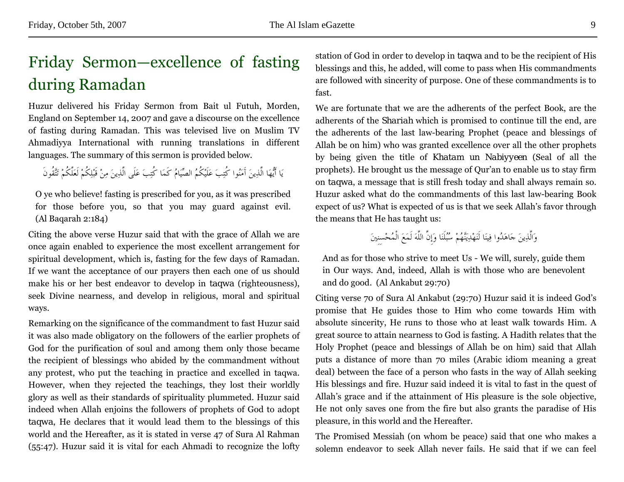## <span id="page-8-0"></span>Friday Sermon—excellence of fasting during Ramadan

Huzur delivered his Friday Sermon from Bait ul Futuh, Morden, England on September 14, 2007 and gave a discourse on the excellence of fasting during Ramadan. This was televised live on Muslim TV Ahmadiyya International with running translations in different languages. The summary of this sermon is provided below.

يَا أَيُّهَا الَّذِينَ آَمَنُوا كُتِبَ عَلَيْكُمُ الصِّيَامُ كَمَا كُتِبَ عَلَى الَّذِينَ مِنْ قَبْلِكُمْ لَعَلَّكُمْ تَتَّقُونَ

O ye who believe! fasting is prescribed for you, as it was prescribed for those before you, so that you may guard against evil. (Al Baqarah 2:184)

Citing the above verse Huzur said that with the grace of Allah we are once again enabled to experience the most excellent arrangement for spiritual development, which is, fasting for the few days of Ramadan. If we want the acceptance of our prayers then each one of us should make his or her best endeavor to develop in *taqwa* (righteousness), seek Divine nearness, and develop in religious, moral and spiritual ways.

Remarking on the significance of the commandment to fast Huzur said it was also made obligatory on the followers of the earlier prophets of God for the purification of soul and among them only those became the recipient of blessings who abided by the commandment without any protest, who put the teaching in practice and excelled in taqwa. However, when they rejected the teachings, they lost their worldly glory as well as their standards of spirituality plummeted. Huzur said indeed when Allah enjoins the followers of prophets of God to adopt *taqwa*, He declares that it would lead them to the blessings of this world and the Hereafter, as it is stated in verse 47 of Sura Al Rahman (55:47). Huzur said it is vital for each Ahmadi to recognize the lofty

station of God in order to develop in *taqwa* and to be the recipient of His blessings and this, he added, will come to pass when His commandments are followed with sincerity of purpose. One of these commandments is to fast.

We are fortunate that we are the adherents of the perfect Book, are the adherents of the *Shariah* which is promised to continue till the end, are the adherents of the last law-bearing Prophet (peace and blessings of Allah be on him) who was granted excellence over all the other prophets by being given the title of *Khatam un Nabiyyeen* (Seal of all the prophets). He brought us the message of Qur'an to enable us to stay firm on *taqwa*, a message that is still fresh today and shall always remain so. Huzur asked what do the commandments of this last law-bearing Book expect of us? What is expected of us is that we seek Allah's favor through the means that He has taught us:

وَالَّذِينَ جَاهَدُوا فِينَا لَنَهْدِيَنَّهُمْ سُبُلَنَا وَإِنَّ اللَّهَ لَمَعَ الْمُحْسِنِينَ

And as for those who strive to meet Us - We will, surely, guide them in Our ways. And, indeed, Allah is with those who are benevolent and do good. (Al Ankabut 29:70)

Citing verse 70 of Sura Al Ankabut (29:70) Huzur said it is indeed God's promise that He guides those to Him who come towards Him with absolute sincerity, He runs to those who at least walk towards Him. A great source to attain nearness to God is fasting. A Hadith relates that the Holy Prophet (peace and blessings of Allah be on him) said that Allah puts a distance of more than 70 miles (Arabic idiom meaning a great deal) between the face of a person who fasts in the way of Allah seeking His blessings and fire. Huzur said indeed it is vital to fast in the quest of Allah's grace and if the attainment of His pleasure is the sole objective, He not only saves one from the fire but also grants the paradise of His pleasure, in this world and the Hereafter.

The Promised Messiah (on whom be peace) said that one who makes a solemn endeavor to seek Allah never fails. He said that if we can feel